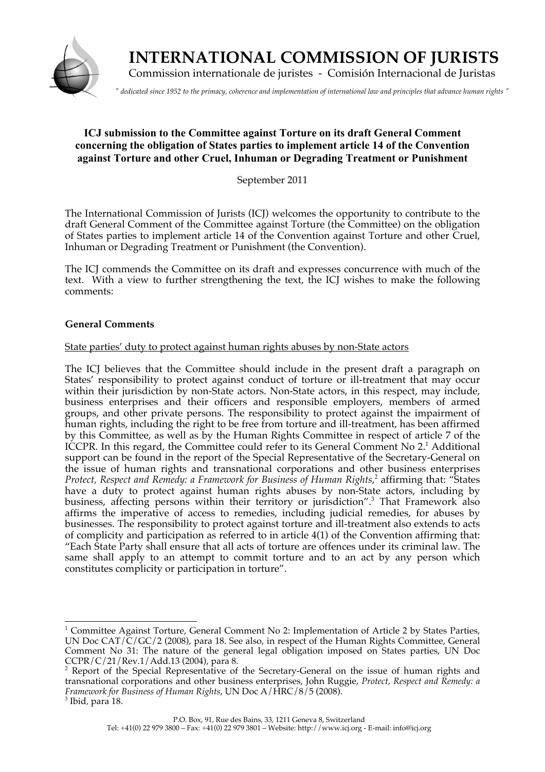

 **INTERNATIONAL COMMISSION OF JURISTS**

Commission internationale de juristes - Comisión Internacional de Juristas

*" dedicated since 1952 to the primacy, coherence and implementation of international law and principles that advance human rights "*

# **ICJ submission to the Committee against Torture on its draft General Comment concerning the obligation of States parties to implement article 14 of the Convention against Torture and other Cruel, Inhuman or Degrading Treatment or Punishment**

September 2011

The International Commission of Jurists (ICJ) welcomes the opportunity to contribute to the draft General Comment of the Committee against Torture (the Committee) on the obligation of States parties to implement article 14 of the Convention against Torture and other Cruel, Inhuman or Degrading Treatment or Punishment (the Convention).

The ICJ commends the Committee on its draft and expresses concurrence with much of the text. With a view to further strengthening the text, the ICJ wishes to make the following comments:

## **General Comments**

## State parties' duty to protect against human rights abuses by non-State actors

The ICJ believes that the Committee should include in the present draft a paragraph on States' responsibility to protect against conduct of torture or ill-treatment that may occur within their jurisdiction by non-State actors. Non-State actors, in this respect, may include, business enterprises and their officers and responsible employers, members of armed groups, and other private persons. The responsibility to protect against the impairment of human rights, including the right to be free from torture and ill-treatment, has been affirmed by this Committee, as well as by the Human Rights Committee in respect of article 7 of the ICCPR. In this regard, the Committee could refer to its General Comment No 2.<sup>1</sup> Additional support can be found in the report of the Special Representative of the Secretary-General on the issue of human rights and transnational corporations and other business enterprises Protect, Respect and Remedy: a Framework for Business of Human Rights,<sup>2</sup> affirming that: "States have a duty to protect against human rights abuses by non-State actors, including by business, affecting persons within their territory or jurisdiction".<sup>3</sup> That Framework also affirms the imperative of access to remedies, including judicial remedies, for abuses by businesses. The responsibility to protect against torture and ill-treatment also extends to acts of complicity and participation as referred to in article 4(1) of the Convention affirming that: "Each State Party shall ensure that all acts of torture are offences under its criminal law. The same shall apply to an attempt to commit torture and to an act by any person which constitutes complicity or participation in torture".

 $\overline{a}$ 

<sup>&</sup>lt;sup>1</sup> Committee Against Torture, General Comment No 2: Implementation of Article 2 by States Parties, UN Doc CAT/C/GC/2 (2008), para 18. See also, in respect of the Human Rights Committee, General Comment No 31: The nature of the general legal obligation imposed on States parties, UN Doc CCPR/C/21/Rev.1/Add.13 (2004), para 8.

<sup>&</sup>lt;sup>2</sup> Report of the Special Representative of the Secretary-General on the issue of human rights and transnational corporations and other business enterprises, John Ruggie, *Protect, Respect and Remedy: a Framework for Business of Human Rights, UN Doc A/HRC/8/5 (2008).* 

Ibid*,* para 18.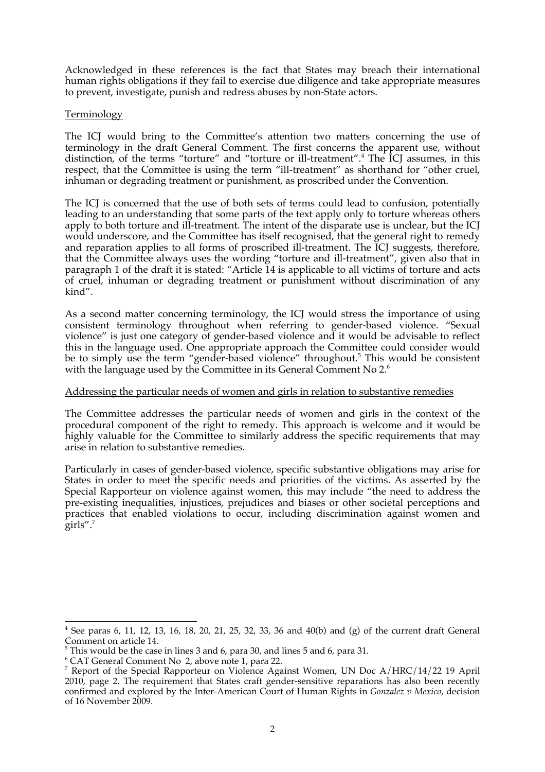Acknowledged in these references is the fact that States may breach their international human rights obligations if they fail to exercise due diligence and take appropriate measures to prevent, investigate, punish and redress abuses by non-State actors.

### **Terminology**

The ICJ would bring to the Committee's attention two matters concerning the use of terminology in the draft General Comment. The first concerns the apparent use, without distinction, of the terms "torture" and "torture or ill-treatment".<sup>4</sup> The ICJ assumes, in this respect, that the Committee is using the term "ill-treatment" as shorthand for "other cruel, inhuman or degrading treatment or punishment, as proscribed under the Convention.

The ICJ is concerned that the use of both sets of terms could lead to confusion, potentially leading to an understanding that some parts of the text apply only to torture whereas others apply to both torture and ill-treatment. The intent of the disparate use is unclear, but the ICJ would underscore, and the Committee has itself recognised, that the general right to remedy and reparation applies to all forms of proscribed ill-treatment. The ICJ suggests, therefore, that the Committee always uses the wording "torture and ill-treatment", given also that in paragraph 1 of the draft it is stated: "Article 14 is applicable to all victims of torture and acts of cruel, inhuman or degrading treatment or punishment without discrimination of any kind".

As a second matter concerning terminology, the ICJ would stress the importance of using consistent terminology throughout when referring to gender-based violence. "Sexual violence" is just one category of gender-based violence and it would be advisable to reflect this in the language used. One appropriate approach the Committee could consider would be to simply use the term "gender-based violence" throughout.<sup>5</sup> This would be consistent with the language used by the Committee in its General Comment No 2.<sup>6</sup>

### Addressing the particular needs of women and girls in relation to substantive remedies

The Committee addresses the particular needs of women and girls in the context of the procedural component of the right to remedy. This approach is welcome and it would be highly valuable for the Committee to similarly address the specific requirements that may arise in relation to substantive remedies.

Particularly in cases of gender-based violence, specific substantive obligations may arise for States in order to meet the specific needs and priorities of the victims. As asserted by the Special Rapporteur on violence against women, this may include "the need to address the pre-existing inequalities, injustices, prejudices and biases or other societal perceptions and practices that enabled violations to occur, including discrimination against women and  $\text{grils}''$ .<sup>7</sup>

 $\overline{a}$  $4$  See paras 6, 11, 12, 13, 16, 18, 20, 21, 25, 32, 33, 36 and 40(b) and (g) of the current draft General Comment on article 14.

<sup>&</sup>lt;sup>5</sup> This would be the case in lines 3 and 6, para 30, and lines 5 and 6, para 31.

<sup>6</sup> CAT General Comment No 2, above note 1, para 22.

<sup>7</sup> Report of the Special Rapporteur on Violence Against Women, UN Doc A/HRC/14/22 19 April 2010, page 2. The requirement that States craft gender-sensitive reparations has also been recently confirmed and explored by the Inter-American Court of Human Rights in *Gonzalez v Mexico*, decision of 16 November 2009.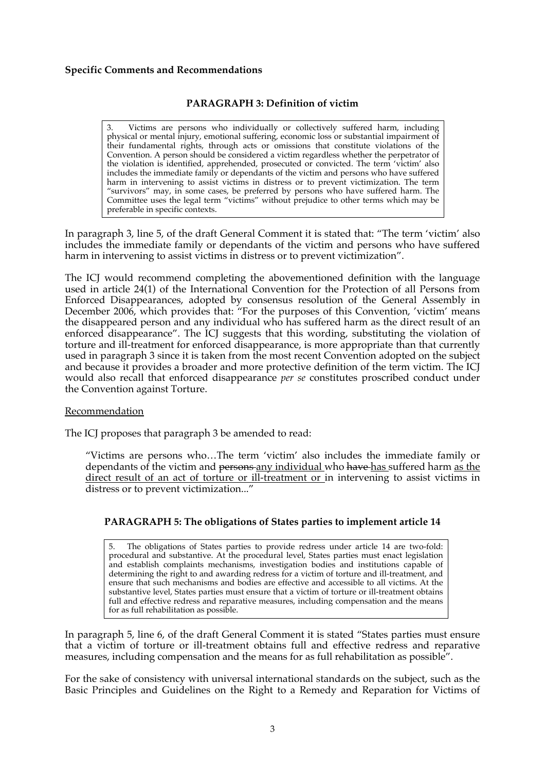### **Specific Comments and Recommendations**

## **PARAGRAPH 3: Definition of victim**

Victims are persons who individually or collectively suffered harm, including physical or mental injury, emotional suffering, economic loss or substantial impairment of their fundamental rights, through acts or omissions that constitute violations of the Convention. A person should be considered a victim regardless whether the perpetrator of the violation is identified, apprehended, prosecuted or convicted. The term 'victim' also includes the immediate family or dependants of the victim and persons who have suffered harm in intervening to assist victims in distress or to prevent victimization. The term "survivors" may, in some cases, be preferred by persons who have suffered harm. The Committee uses the legal term "victims" without prejudice to other terms which may be preferable in specific contexts.

In paragraph 3, line 5, of the draft General Comment it is stated that: "The term 'victim' also includes the immediate family or dependants of the victim and persons who have suffered harm in intervening to assist victims in distress or to prevent victimization".

The ICJ would recommend completing the abovementioned definition with the language used in article 24(1) of the International Convention for the Protection of all Persons from Enforced Disappearances, adopted by consensus resolution of the General Assembly in December 2006, which provides that: "For the purposes of this Convention, 'victim' means the disappeared person and any individual who has suffered harm as the direct result of an enforced disappearance". The ICJ suggests that this wording, substituting the violation of torture and ill-treatment for enforced disappearance, is more appropriate than that currently used in paragraph 3 since it is taken from the most recent Convention adopted on the subject and because it provides a broader and more protective definition of the term victim. The ICJ would also recall that enforced disappearance *per se* constitutes proscribed conduct under the Convention against Torture.

#### Recommendation

The ICJ proposes that paragraph 3 be amended to read:

"Victims are persons who…The term 'victim' also includes the immediate family or dependants of the victim and persons any individual who have has suffered harm as the direct result of an act of torture or ill-treatment or in intervening to assist victims in distress or to prevent victimization..."

## **PARAGRAPH 5: The obligations of States parties to implement article 14**

5. The obligations of States parties to provide redress under article 14 are two-fold: procedural and substantive. At the procedural level, States parties must enact legislation and establish complaints mechanisms, investigation bodies and institutions capable of determining the right to and awarding redress for a victim of torture and ill-treatment, and ensure that such mechanisms and bodies are effective and accessible to all victims. At the substantive level, States parties must ensure that a victim of torture or ill-treatment obtains full and effective redress and reparative measures, including compensation and the means for as full rehabilitation as possible.

In paragraph 5, line 6, of the draft General Comment it is stated "States parties must ensure that a victim of torture or ill-treatment obtains full and effective redress and reparative measures, including compensation and the means for as full rehabilitation as possible".

For the sake of consistency with universal international standards on the subject, such as the Basic Principles and Guidelines on the Right to a Remedy and Reparation for Victims of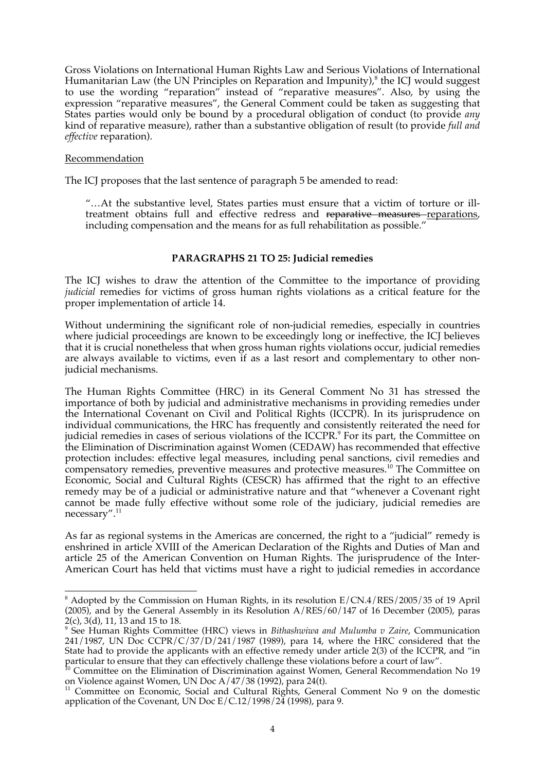Gross Violations on International Human Rights Law and Serious Violations of International Humanitarian Law (the UN Principles on Reparation and Impunity),<sup>8</sup> the ICJ would suggest to use the wording "reparation" instead of "reparative measures". Also, by using the expression "reparative measures", the General Comment could be taken as suggesting that States parties would only be bound by a procedural obligation of conduct (to provide *any*  kind of reparative measure), rather than a substantive obligation of result (to provide *full and effective* reparation).

#### Recommendation

The ICJ proposes that the last sentence of paragraph 5 be amended to read:

"…At the substantive level, States parties must ensure that a victim of torture or illtreatment obtains full and effective redress and reparative measures reparations, including compensation and the means for as full rehabilitation as possible."

#### **PARAGRAPHS 21 TO 25: Judicial remedies**

The ICJ wishes to draw the attention of the Committee to the importance of providing *judicial* remedies for victims of gross human rights violations as a critical feature for the proper implementation of article 14.

Without undermining the significant role of non-judicial remedies, especially in countries where judicial proceedings are known to be exceedingly long or ineffective, the ICJ believes that it is crucial nonetheless that when gross human rights violations occur, judicial remedies are always available to victims, even if as a last resort and complementary to other nonjudicial mechanisms.

The Human Rights Committee (HRC) in its General Comment No 31 has stressed the importance of both by judicial and administrative mechanisms in providing remedies under the International Covenant on Civil and Political Rights (ICCPR). In its jurisprudence on individual communications, the HRC has frequently and consistently reiterated the need for judicial remedies in cases of serious violations of the ICCPR.<sup>9</sup> For its part, the Committee on the Elimination of Discrimination against Women (CEDAW) has recommended that effective protection includes: effective legal measures, including penal sanctions, civil remedies and compensatory remedies, preventive measures and protective measures.<sup>10</sup> The Committee on Economic, Social and Cultural Rights (CESCR) has affirmed that the right to an effective remedy may be of a judicial or administrative nature and that "whenever a Covenant right cannot be made fully effective without some role of the judiciary, judicial remedies are necessary".<sup>11</sup>

As far as regional systems in the Americas are concerned, the right to a "judicial" remedy is enshrined in article XVIII of the American Declaration of the Rights and Duties of Man and article 25 of the American Convention on Human Rights. The jurisprudence of the Inter-American Court has held that victims must have a right to judicial remedies in accordance

 $\overline{a}$ <sup>8</sup> Adopted by the Commission on Human Rights, in its resolution E/CN.4/RES/2005/35 of 19 April  $(2005)$ , and by the General Assembly in its Resolution A/RES/60/147 of 16 December (2005), paras  $2(c)$ ,  $3(d)$ ,  $11$ ,  $13$  and  $15$  to  $18$ .

<sup>&</sup>lt;sup>9</sup> See Human Rights Committee (HRC) views in *Bithashwiwa and Mulumba v Zaire*, Communication 241/1987, UN Doc CCPR/C/37/D/241/1987 (1989), para 14, where the HRC considered that the State had to provide the applicants with an effective remedy under article 2(3) of the ICCPR, and "in particular to ensure that they can effectively challenge these violations before a court of law".

<sup>&</sup>lt;sup>10</sup> Committee on the Elimination of Discrimination against Women, General Recommendation No 19 on Violence against Women, UN Doc  $A/47/38$  (1992), para 24(t).

<sup>&</sup>lt;sup>11</sup> Committee on Economic, Social and Cultural Rights, General Comment No 9 on the domestic application of the Covenant, UN Doc  $E/C.12/1998/24$  (1998), para 9.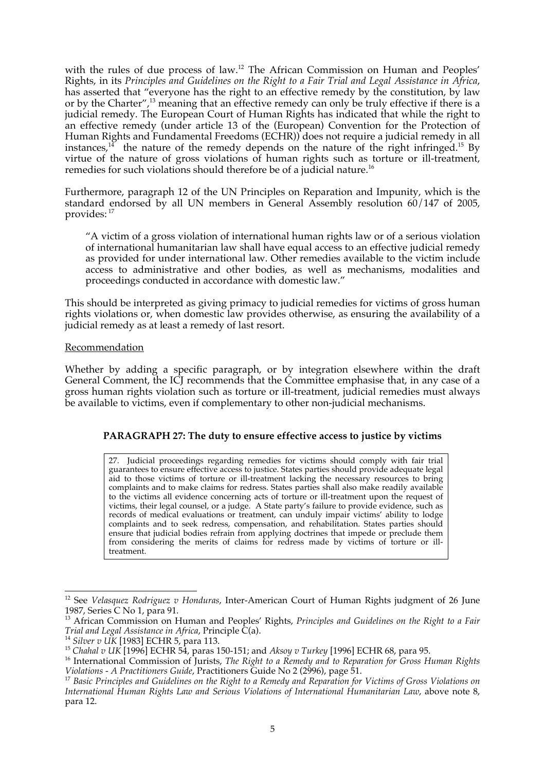with the rules of due process of law.<sup>12</sup> The African Commission on Human and Peoples' Rights, in its *Principles and Guidelines on the Right to a Fair Trial and Legal Assistance in Africa*, has asserted that "everyone has the right to an effective remedy by the constitution, by law or by the Charter",<sup>13</sup> meaning that an effective remedy can only be truly effective if there is a judicial remedy. The European Court of Human Rights has indicated that while the right to an effective remedy (under article 13 of the (European) Convention for the Protection of Human Rights and Fundamental Freedoms (ECHR)) does not require a judicial remedy in all instances, $14$  the nature of the remedy depends on the nature of the right infringed.<sup>15</sup> By virtue of the nature of gross violations of human rights such as torture or ill-treatment, remedies for such violations should therefore be of a judicial nature.<sup>16</sup>

Furthermore, paragraph 12 of the UN Principles on Reparation and Impunity, which is the standard endorsed by all UN members in General Assembly resolution 60/147 of 2005, provides: <sup>17</sup>

"A victim of a gross violation of international human rights law or of a serious violation of international humanitarian law shall have equal access to an effective judicial remedy as provided for under international law. Other remedies available to the victim include access to administrative and other bodies, as well as mechanisms, modalities and proceedings conducted in accordance with domestic law."

This should be interpreted as giving primacy to judicial remedies for victims of gross human rights violations or, when domestic law provides otherwise, as ensuring the availability of a judicial remedy as at least a remedy of last resort.

#### Recommendation

Whether by adding a specific paragraph, or by integration elsewhere within the draft General Comment, the ICJ recommends that the Committee emphasise that, in any case of a gross human rights violation such as torture or ill-treatment, judicial remedies must always be available to victims, even if complementary to other non-judicial mechanisms.

#### **PARAGRAPH 27: The duty to ensure effective access to justice by victims**

27. Judicial proceedings regarding remedies for victims should comply with fair trial guarantees to ensure effective access to justice. States parties should provide adequate legal aid to those victims of torture or ill-treatment lacking the necessary resources to bring complaints and to make claims for redress. States parties shall also make readily available to the victims all evidence concerning acts of torture or ill-treatment upon the request of victims, their legal counsel, or a judge. A State party's failure to provide evidence, such as records of medical evaluations or treatment, can unduly impair victims' ability to lodge complaints and to seek redress, compensation, and rehabilitation. States parties should ensure that judicial bodies refrain from applying doctrines that impede or preclude them from considering the merits of claims for redress made by victims of torture or illtreatment.

 $\overline{a}$ 12 See *Velasquez Rodriguez v Honduras*, Inter-American Court of Human Rights judgment of 26 June 1987, Series C No 1, para 91.

<sup>&</sup>lt;sup>13</sup> African Commission on Human and Peoples' Rights, *Principles and Guidelines on the Right to a Fair Trial and Legal Assistance in Africa, Principle C(a).* 

*Trial and Legal Assistance in Africa*, Principle C(a).<br><sup>14</sup> Silver v UK [1983] ECHR 5, para 113.<br><sup>15</sup> Chahal v UK [1996] ECHR 54, paras 150-151; and *Aksoy* v Turkey [1996] ECHR 68, para 95.

<sup>&</sup>lt;sup>16</sup> International Commission of Jurists, *The Right to a Remedy and to Reparation for Gross Human Rights Violations - A Practitioners Guide*, Practitioners Guide No 2 (2996), page 51.

<sup>17</sup> *Basic Principles and Guidelines on the Right to a Remedy and Reparation for Victims of Gross Violations on International Human Rights Law and Serious Violations of International Humanitarian Law*, above note 8, para 12.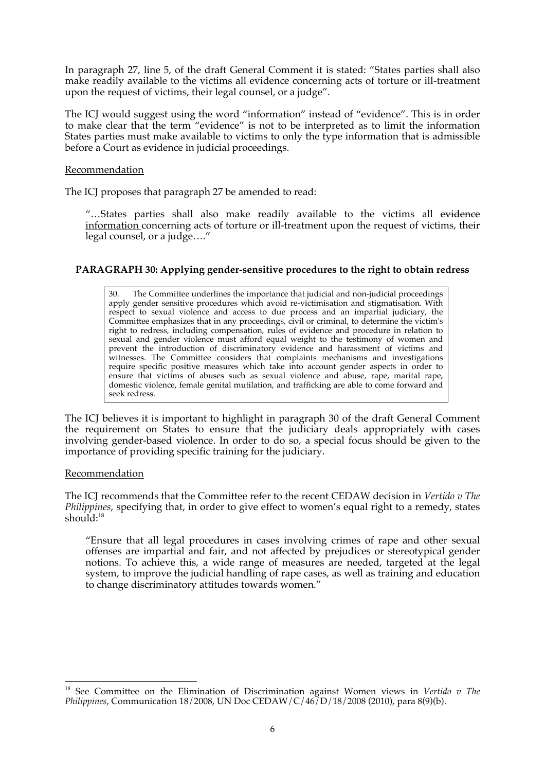In paragraph 27, line 5, of the draft General Comment it is stated: "States parties shall also make readily available to the victims all evidence concerning acts of torture or ill-treatment upon the request of victims, their legal counsel, or a judge".

The ICJ would suggest using the word "information" instead of "evidence". This is in order to make clear that the term "evidence" is not to be interpreted as to limit the information States parties must make available to victims to only the type information that is admissible before a Court as evidence in judicial proceedings.

### Recommendation

The ICJ proposes that paragraph 27 be amended to read:

"...States parties shall also make readily available to the victims all evidence information concerning acts of torture or ill-treatment upon the request of victims, their legal counsel, or a judge…."

## **PARAGRAPH 30: Applying gender-sensitive procedures to the right to obtain redress**

30. The Committee underlines the importance that judicial and non-judicial proceedings apply gender sensitive procedures which avoid re-victimisation and stigmatisation. With respect to sexual violence and access to due process and an impartial judiciary, the Committee emphasizes that in any proceedings, civil or criminal, to determine the victim's right to redress, including compensation, rules of evidence and procedure in relation to sexual and gender violence must afford equal weight to the testimony of women and prevent the introduction of discriminatory evidence and harassment of victims and witnesses. The Committee considers that complaints mechanisms and investigations require specific positive measures which take into account gender aspects in order to ensure that victims of abuses such as sexual violence and abuse, rape, marital rape, domestic violence, female genital mutilation, and trafficking are able to come forward and seek redress.

The ICJ believes it is important to highlight in paragraph 30 of the draft General Comment the requirement on States to ensure that the judiciary deals appropriately with cases involving gender-based violence. In order to do so, a special focus should be given to the importance of providing specific training for the judiciary.

#### **Recommendation**

The ICJ recommends that the Committee refer to the recent CEDAW decision in *Vertido v The Philippines*, specifying that, in order to give effect to women's equal right to a remedy, states should: $18$ 

"Ensure that all legal procedures in cases involving crimes of rape and other sexual offenses are impartial and fair, and not affected by prejudices or stereotypical gender notions. To achieve this, a wide range of measures are needed, targeted at the legal system, to improve the judicial handling of rape cases, as well as training and education to change discriminatory attitudes towards women."

 $\overline{a}$ 18 See Committee on the Elimination of Discrimination against Women views in *Vertido v The Philippines*, Communication 18/2008, UN Doc CEDAW/C/46/D/18/2008 (2010), para 8(9)(b).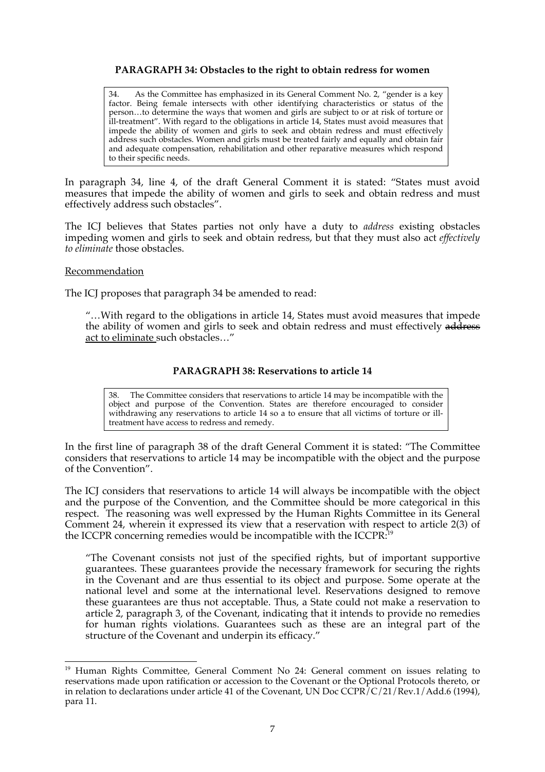### **PARAGRAPH 34: Obstacles to the right to obtain redress for women**

34. As the Committee has emphasized in its General Comment No. 2, "gender is a key factor. Being female intersects with other identifying characteristics or status of the person…to determine the ways that women and girls are subject to or at risk of torture or ill-treatment". With regard to the obligations in article 14, States must avoid measures that impede the ability of women and girls to seek and obtain redress and must effectively address such obstacles. Women and girls must be treated fairly and equally and obtain fair and adequate compensation, rehabilitation and other reparative measures which respond to their specific needs.

In paragraph 34, line 4, of the draft General Comment it is stated: "States must avoid measures that impede the ability of women and girls to seek and obtain redress and must effectively address such obstacles".

The ICJ believes that States parties not only have a duty to *address* existing obstacles impeding women and girls to seek and obtain redress, but that they must also act *effectively to eliminate* those obstacles.

Recommendation

 $\overline{a}$ 

The ICJ proposes that paragraph 34 be amended to read:

"…With regard to the obligations in article 14, States must avoid measures that impede the ability of women and girls to seek and obtain redress and must effectively address act to eliminate such obstacles…"

### **PARAGRAPH 38: Reservations to article 14**

38. The Committee considers that reservations to article 14 may be incompatible with the object and purpose of the Convention. States are therefore encouraged to consider withdrawing any reservations to article 14 so a to ensure that all victims of torture or illtreatment have access to redress and remedy.

In the first line of paragraph 38 of the draft General Comment it is stated: "The Committee considers that reservations to article 14 may be incompatible with the object and the purpose of the Convention".

The ICJ considers that reservations to article 14 will always be incompatible with the object and the purpose of the Convention, and the Committee should be more categorical in this respect. The reasoning was well expressed by the Human Rights Committee in its General Comment 24, wherein it expressed its view that a reservation with respect to article 2(3) of the ICCPR concerning remedies would be incompatible with the ICCPR:<sup>19</sup>

"The Covenant consists not just of the specified rights, but of important supportive guarantees. These guarantees provide the necessary framework for securing the rights in the Covenant and are thus essential to its object and purpose. Some operate at the national level and some at the international level. Reservations designed to remove these guarantees are thus not acceptable. Thus, a State could not make a reservation to article 2, paragraph 3, of the Covenant, indicating that it intends to provide no remedies for human rights violations. Guarantees such as these are an integral part of the structure of the Covenant and underpin its efficacy."

<sup>&</sup>lt;sup>19</sup> Human Rights Committee, General Comment No 24: General comment on issues relating to reservations made upon ratification or accession to the Covenant or the Optional Protocols thereto, or in relation to declarations under article 41 of the Covenant, UN Doc  $CCPR/C/21/Rev.1/Add.6$  (1994), para 11.